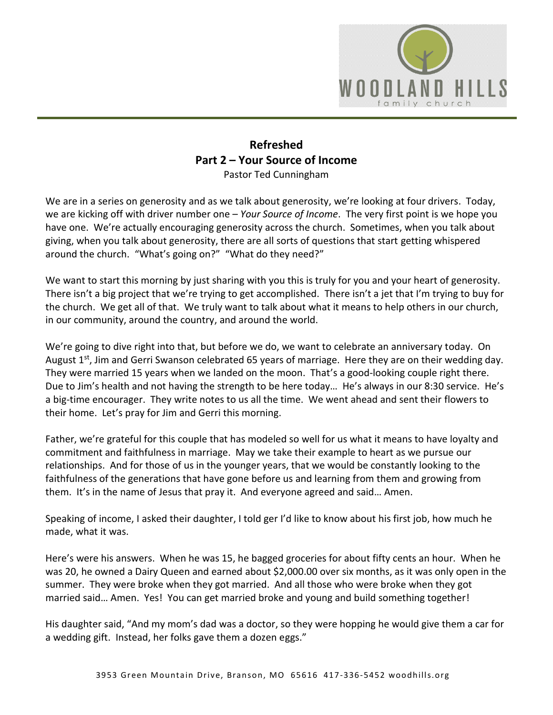

## **Refreshed Part 2 – Your Source of Income**  Pastor Ted Cunningham

We are in a series on generosity and as we talk about generosity, we're looking at four drivers. Today, we are kicking off with driver number one – *Your Source of Income*. The very first point is we hope you have one. We're actually encouraging generosity across the church. Sometimes, when you talk about giving, when you talk about generosity, there are all sorts of questions that start getting whispered around the church. "What's going on?" "What do they need?"

We want to start this morning by just sharing with you this is truly for you and your heart of generosity. There isn't a big project that we're trying to get accomplished. There isn't a jet that I'm trying to buy for the church. We get all of that. We truly want to talk about what it means to help others in our church, in our community, around the country, and around the world.

We're going to dive right into that, but before we do, we want to celebrate an anniversary today. On August  $1<sup>st</sup>$ , Jim and Gerri Swanson celebrated 65 years of marriage. Here they are on their wedding day. They were married 15 years when we landed on the moon. That's a good-looking couple right there. Due to Jim's health and not having the strength to be here today… He's always in our 8:30 service. He's a big-time encourager. They write notes to us all the time. We went ahead and sent their flowers to their home. Let's pray for Jim and Gerri this morning.

Father, we're grateful for this couple that has modeled so well for us what it means to have loyalty and commitment and faithfulness in marriage. May we take their example to heart as we pursue our relationships. And for those of us in the younger years, that we would be constantly looking to the faithfulness of the generations that have gone before us and learning from them and growing from them. It's in the name of Jesus that pray it. And everyone agreed and said… Amen.

Speaking of income, I asked their daughter, I told ger I'd like to know about his first job, how much he made, what it was.

Here's were his answers. When he was 15, he bagged groceries for about fifty cents an hour. When he was 20, he owned a Dairy Queen and earned about \$2,000.00 over six months, as it was only open in the summer. They were broke when they got married. And all those who were broke when they got married said… Amen. Yes! You can get married broke and young and build something together!

His daughter said, "And my mom's dad was a doctor, so they were hopping he would give them a car for a wedding gift. Instead, her folks gave them a dozen eggs."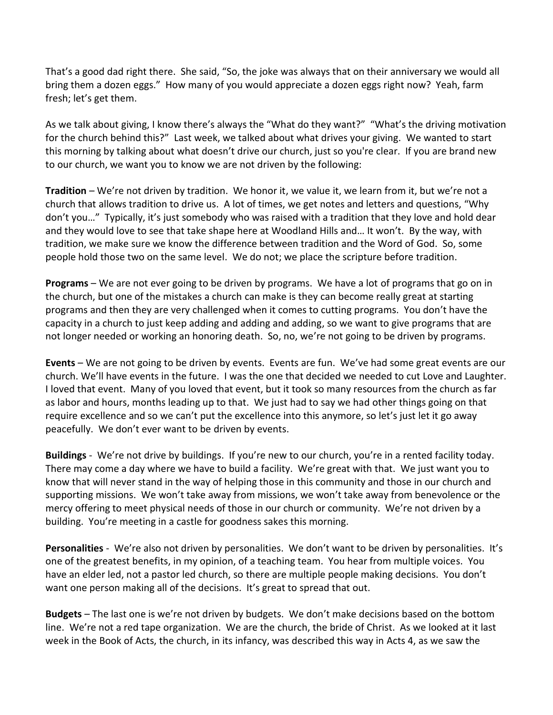That's a good dad right there. She said, "So, the joke was always that on their anniversary we would all bring them a dozen eggs." How many of you would appreciate a dozen eggs right now? Yeah, farm fresh; let's get them.

As we talk about giving, I know there's always the "What do they want?" "What's the driving motivation for the church behind this?" Last week, we talked about what drives your giving. We wanted to start this morning by talking about what doesn't drive our church, just so you're clear. If you are brand new to our church, we want you to know we are not driven by the following:

**Tradition** – We're not driven by tradition. We honor it, we value it, we learn from it, but we're not a church that allows tradition to drive us. A lot of times, we get notes and letters and questions, "Why don't you…" Typically, it's just somebody who was raised with a tradition that they love and hold dear and they would love to see that take shape here at Woodland Hills and… It won't. By the way, with tradition, we make sure we know the difference between tradition and the Word of God. So, some people hold those two on the same level. We do not; we place the scripture before tradition.

**Programs** – We are not ever going to be driven by programs. We have a lot of programs that go on in the church, but one of the mistakes a church can make is they can become really great at starting programs and then they are very challenged when it comes to cutting programs. You don't have the capacity in a church to just keep adding and adding and adding, so we want to give programs that are not longer needed or working an honoring death. So, no, we're not going to be driven by programs.

**Events** – We are not going to be driven by events. Events are fun. We've had some great events are our church. We'll have events in the future. I was the one that decided we needed to cut Love and Laughter. I loved that event. Many of you loved that event, but it took so many resources from the church as far as labor and hours, months leading up to that. We just had to say we had other things going on that require excellence and so we can't put the excellence into this anymore, so let's just let it go away peacefully. We don't ever want to be driven by events.

**Buildings** - We're not drive by buildings. If you're new to our church, you're in a rented facility today. There may come a day where we have to build a facility. We're great with that. We just want you to know that will never stand in the way of helping those in this community and those in our church and supporting missions. We won't take away from missions, we won't take away from benevolence or the mercy offering to meet physical needs of those in our church or community. We're not driven by a building. You're meeting in a castle for goodness sakes this morning.

**Personalities** - We're also not driven by personalities. We don't want to be driven by personalities. It's one of the greatest benefits, in my opinion, of a teaching team. You hear from multiple voices. You have an elder led, not a pastor led church, so there are multiple people making decisions. You don't want one person making all of the decisions. It's great to spread that out.

**Budgets** – The last one is we're not driven by budgets. We don't make decisions based on the bottom line. We're not a red tape organization. We are the church, the bride of Christ. As we looked at it last week in the Book of Acts, the church, in its infancy, was described this way in Acts 4, as we saw the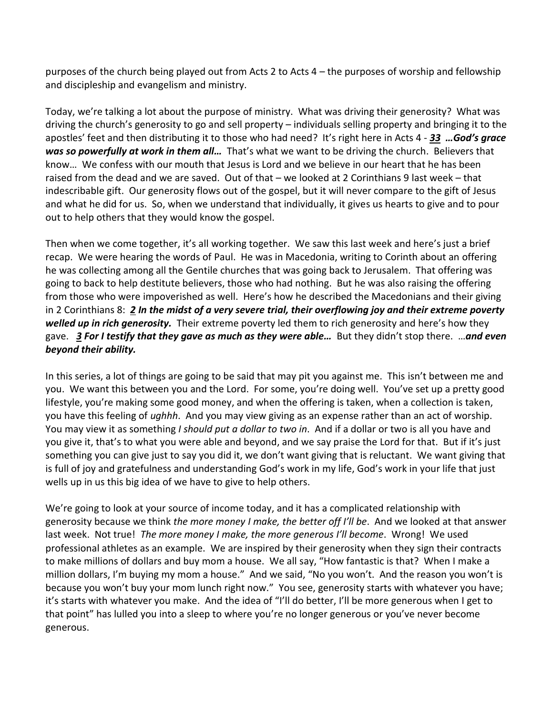purposes of the church being played out from Acts 2 to Acts 4 – the purposes of worship and fellowship and discipleship and evangelism and ministry.

Today, we're talking a lot about the purpose of ministry. What was driving their generosity? What was driving the church's generosity to go and sell property – individuals selling property and bringing it to the apostles' feet and then distributing it to those who had need? It's right here in Acts 4 - *[33](https://www.studylight.org/desk/?q=ac%204:33&t1=en_niv&sr=1) …God's grace was so powerfully at work in them all…* That's what we want to be driving the church. Believers that know… We confess with our mouth that Jesus is Lord and we believe in our heart that he has been raised from the dead and we are saved. Out of that – we looked at 2 Corinthians 9 last week – that indescribable gift. Our generosity flows out of the gospel, but it will never compare to the gift of Jesus and what he did for us. So, when we understand that individually, it gives us hearts to give and to pour out to help others that they would know the gospel.

Then when we come together, it's all working together. We saw this last week and here's just a brief recap. We were hearing the words of Paul. He was in Macedonia, writing to Corinth about an offering he was collecting among all the Gentile churches that was going back to Jerusalem. That offering was going to back to help destitute believers, those who had nothing. But he was also raising the offering from those who were impoverished as well. Here's how he described the Macedonians and their giving in 2 Corinthians 8: *[2](https://www.studylight.org/desk/?q=2co%208:2&t1=en_niv&sr=1) In the midst of a very severe trial, their overflowing joy and their extreme poverty welled up in rich generosity.* Their extreme poverty led them to rich generosity and here's how they gave. *[3](https://www.studylight.org/desk/?q=2co%208:3&t1=en_niv&sr=1) For I testify that they gave as much as they were able…* But they didn't stop there. …*and even beyond their ability.* 

In this series, a lot of things are going to be said that may pit you against me. This isn't between me and you. We want this between you and the Lord. For some, you're doing well. You've set up a pretty good lifestyle, you're making some good money, and when the offering is taken, when a collection is taken, you have this feeling of *ughhh*. And you may view giving as an expense rather than an act of worship. You may view it as something *I should put a dollar to two in*. And if a dollar or two is all you have and you give it, that's to what you were able and beyond, and we say praise the Lord for that. But if it's just something you can give just to say you did it, we don't want giving that is reluctant. We want giving that is full of joy and gratefulness and understanding God's work in my life, God's work in your life that just wells up in us this big idea of we have to give to help others.

We're going to look at your source of income today, and it has a complicated relationship with generosity because we think *the more money I make, the better off I'll be*. And we looked at that answer last week. Not true! *The more money I make, the more generous I'll become*. Wrong! We used professional athletes as an example. We are inspired by their generosity when they sign their contracts to make millions of dollars and buy mom a house. We all say, "How fantastic is that? When I make a million dollars, I'm buying my mom a house." And we said, "No you won't. And the reason you won't is because you won't buy your mom lunch right now." You see, generosity starts with whatever you have; it's starts with whatever you make. And the idea of "I'll do better, I'll be more generous when I get to that point" has lulled you into a sleep to where you're no longer generous or you've never become generous.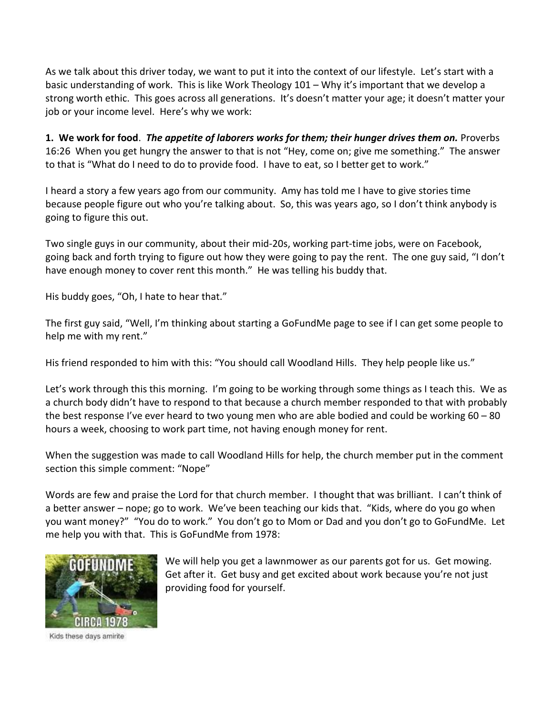As we talk about this driver today, we want to put it into the context of our lifestyle. Let's start with a basic understanding of work. This is like Work Theology 101 – Why it's important that we develop a strong worth ethic. This goes across all generations. It's doesn't matter your age; it doesn't matter your job or your income level. Here's why we work:

**1. We work for food**. *The appetite of laborers works for them; their hunger drives them on.* Proverbs 16:26 When you get hungry the answer to that is not "Hey, come on; give me something." The answer to that is "What do I need to do to provide food. I have to eat, so I better get to work."

I heard a story a few years ago from our community. Amy has told me I have to give stories time because people figure out who you're talking about. So, this was years ago, so I don't think anybody is going to figure this out.

Two single guys in our community, about their mid-20s, working part-time jobs, were on Facebook, going back and forth trying to figure out how they were going to pay the rent. The one guy said, "I don't have enough money to cover rent this month." He was telling his buddy that.

His buddy goes, "Oh, I hate to hear that."

The first guy said, "Well, I'm thinking about starting a GoFundMe page to see if I can get some people to help me with my rent."

His friend responded to him with this: "You should call Woodland Hills. They help people like us."

Let's work through this this morning. I'm going to be working through some things as I teach this. We as a church body didn't have to respond to that because a church member responded to that with probably the best response I've ever heard to two young men who are able bodied and could be working 60 – 80 hours a week, choosing to work part time, not having enough money for rent.

When the suggestion was made to call Woodland Hills for help, the church member put in the comment section this simple comment: "Nope"

Words are few and praise the Lord for that church member. I thought that was brilliant. I can't think of a better answer – nope; go to work. We've been teaching our kids that. "Kids, where do you go when you want money?" "You do to work." You don't go to Mom or Dad and you don't go to GoFundMe. Let me help you with that. This is GoFundMe from 1978:



We will help you get a lawnmower as our parents got for us. Get mowing. Get after it. Get busy and get excited about work because you're not just providing food for yourself.

Kids these days amirite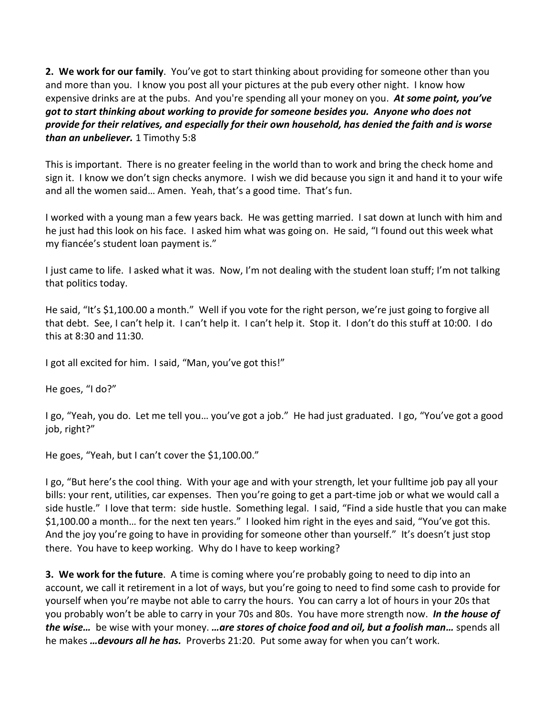**2. We work for our family**. You've got to start thinking about providing for someone other than you and more than you. I know you post all your pictures at the pub every other night. I know how expensive drinks are at the pubs. And you're spending all your money on you. *At some point, you've got to start thinking about working to provide for someone besides you. Anyone who does not provide for their relatives, and especially for their own household, has denied the faith and is worse than an unbeliever.* 1 Timothy 5:8

This is important. There is no greater feeling in the world than to work and bring the check home and sign it. I know we don't sign checks anymore. I wish we did because you sign it and hand it to your wife and all the women said… Amen. Yeah, that's a good time. That's fun.

I worked with a young man a few years back. He was getting married. I sat down at lunch with him and he just had this look on his face. I asked him what was going on. He said, "I found out this week what my fiancée's student loan payment is."

I just came to life. I asked what it was. Now, I'm not dealing with the student loan stuff; I'm not talking that politics today.

He said, "It's \$1,100.00 a month." Well if you vote for the right person, we're just going to forgive all that debt. See, I can't help it. I can't help it. I can't help it. Stop it. I don't do this stuff at 10:00. I do this at 8:30 and 11:30.

I got all excited for him. I said, "Man, you've got this!"

He goes, "I do?"

I go, "Yeah, you do. Let me tell you… you've got a job." He had just graduated. I go, "You've got a good job, right?"

He goes, "Yeah, but I can't cover the \$1,100.00."

I go, "But here's the cool thing. With your age and with your strength, let your fulltime job pay all your bills: your rent, utilities, car expenses. Then you're going to get a part-time job or what we would call a side hustle." I love that term: side hustle. Something legal. I said, "Find a side hustle that you can make \$1,100.00 a month… for the next ten years." I looked him right in the eyes and said, "You've got this. And the joy you're going to have in providing for someone other than yourself." It's doesn't just stop there. You have to keep working. Why do I have to keep working?

**3. We work for the future**. A time is coming where you're probably going to need to dip into an account, we call it retirement in a lot of ways, but you're going to need to find some cash to provide for yourself when you're maybe not able to carry the hours. You can carry a lot of hours in your 20s that you probably won't be able to carry in your 70s and 80s. You have more strength now. *In the house of the wise…* be wise with your money. *…are stores of choice food and oil, but a foolish man…* spends all he makes *…devours all he has.* Proverbs 21:20. Put some away for when you can't work.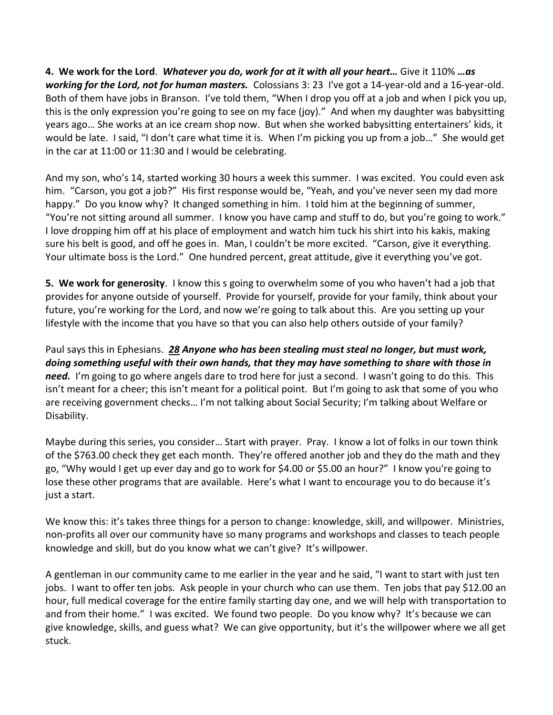**4. We work for the Lord**. *Whatever you do, work for at it with all your heart…* Give it 110% *…as working for the Lord, not for human masters.* Colossians 3: 23 I've got a 14-year-old and a 16-year-old. Both of them have jobs in Branson. I've told them, "When I drop you off at a job and when I pick you up, this is the only expression you're going to see on my face (joy)." And when my daughter was babysitting years ago… She works at an ice cream shop now. But when she worked babysitting entertainers' kids, it would be late. I said, "I don't care what time it is. When I'm picking you up from a job…" She would get in the car at 11:00 or 11:30 and I would be celebrating.

And my son, who's 14, started working 30 hours a week this summer. I was excited. You could even ask him. "Carson, you got a job?" His first response would be, "Yeah, and you've never seen my dad more happy." Do you know why? It changed something in him. I told him at the beginning of summer, "You're not sitting around all summer. I know you have camp and stuff to do, but you're going to work." I love dropping him off at his place of employment and watch him tuck his shirt into his kakis, making sure his belt is good, and off he goes in. Man, I couldn't be more excited. "Carson, give it everything. Your ultimate boss is the Lord." One hundred percent, great attitude, give it everything you've got.

**5. We work for generosity**. I know this s going to overwhelm some of you who haven't had a job that provides for anyone outside of yourself. Provide for yourself, provide for your family, think about your future, you're working for the Lord, and now we're going to talk about this. Are you setting up your lifestyle with the income that you have so that you can also help others outside of your family?

Paul says this in Ephesians. *[28](https://www.studylight.org/desk/?q=eph%204:28&t1=en_niv&sr=1) Anyone who has been stealing must steal no longer, but must work, doing something useful with their own hands, that they may have something to share with those in need.* I'm going to go where angels dare to trod here for just a second. I wasn't going to do this. This isn't meant for a cheer; this isn't meant for a political point. But I'm going to ask that some of you who are receiving government checks… I'm not talking about Social Security; I'm talking about Welfare or Disability.

Maybe during this series, you consider… Start with prayer. Pray. I know a lot of folks in our town think of the \$763.00 check they get each month. They're offered another job and they do the math and they go, "Why would I get up ever day and go to work for \$4.00 or \$5.00 an hour?" I know you're going to lose these other programs that are available. Here's what I want to encourage you to do because it's just a start.

We know this: it's takes three things for a person to change: knowledge, skill, and willpower. Ministries, non-profits all over our community have so many programs and workshops and classes to teach people knowledge and skill, but do you know what we can't give? It's willpower.

A gentleman in our community came to me earlier in the year and he said, "I want to start with just ten jobs. I want to offer ten jobs. Ask people in your church who can use them. Ten jobs that pay \$12.00 an hour, full medical coverage for the entire family starting day one, and we will help with transportation to and from their home." I was excited. We found two people. Do you know why? It's because we can give knowledge, skills, and guess what? We can give opportunity, but it's the willpower where we all get stuck.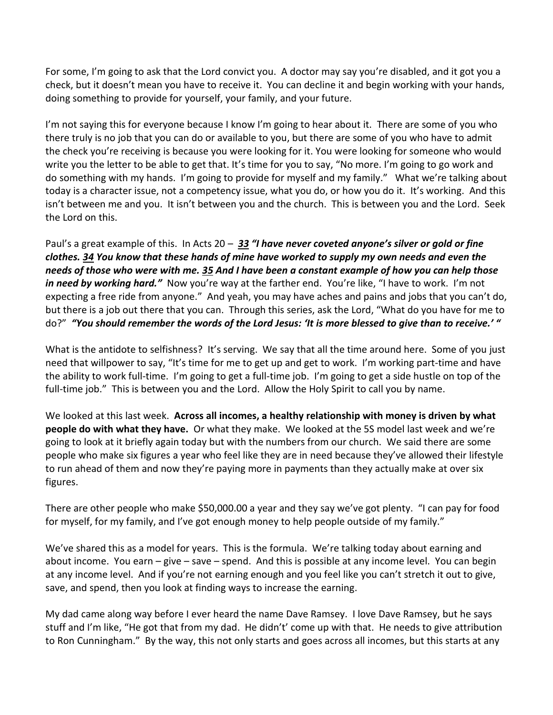For some, I'm going to ask that the Lord convict you. A doctor may say you're disabled, and it got you a check, but it doesn't mean you have to receive it. You can decline it and begin working with your hands, doing something to provide for yourself, your family, and your future.

I'm not saying this for everyone because I know I'm going to hear about it. There are some of you who there truly is no job that you can do or available to you, but there are some of you who have to admit the check you're receiving is because you were looking for it. You were looking for someone who would write you the letter to be able to get that. It's time for you to say, "No more. I'm going to go work and do something with my hands. I'm going to provide for myself and my family." What we're talking about today is a character issue, not a competency issue, what you do, or how you do it. It's working. And this isn't between me and you. It isn't between you and the church. This is between you and the Lord. Seek the Lord on this.

Paul's a great example of this. In Acts 20 – *[33](https://www.studylight.org/desk/?q=ac%2020:33&t1=en_nlt&sr=1) "I have never coveted anyone's silver or gold or fine clothes. [34](https://www.studylight.org/desk/?q=ac%2020:34&t1=en_nlt&sr=1) You know that these hands of mine have worked to supply my own needs and even the needs of those who were with me. [35](https://www.studylight.org/desk/?q=ac%2020:35&t1=en_nlt&sr=1) And I have been a constant example of how you can help those in need by working hard."* Now you're way at the farther end. You're like, "I have to work. I'm not expecting a free ride from anyone." And yeah, you may have aches and pains and jobs that you can't do, but there is a job out there that you can. Through this series, ask the Lord, "What do you have for me to do?" *"You should remember the words of the Lord Jesus: 'It is more blessed to give than to receive.' "*

What is the antidote to selfishness? It's serving. We say that all the time around here. Some of you just need that willpower to say, "It's time for me to get up and get to work. I'm working part-time and have the ability to work full-time. I'm going to get a full-time job. I'm going to get a side hustle on top of the full-time job." This is between you and the Lord. Allow the Holy Spirit to call you by name.

We looked at this last week. **Across all incomes, a healthy relationship with money is driven by what people do with what they have.** Or what they make. We looked at the 5S model last week and we're going to look at it briefly again today but with the numbers from our church. We said there are some people who make six figures a year who feel like they are in need because they've allowed their lifestyle to run ahead of them and now they're paying more in payments than they actually make at over six figures.

There are other people who make \$50,000.00 a year and they say we've got plenty. "I can pay for food for myself, for my family, and I've got enough money to help people outside of my family."

We've shared this as a model for years. This is the formula. We're talking today about earning and about income. You earn – give – save – spend. And this is possible at any income level. You can begin at any income level. And if you're not earning enough and you feel like you can't stretch it out to give, save, and spend, then you look at finding ways to increase the earning.

My dad came along way before I ever heard the name Dave Ramsey. I love Dave Ramsey, but he says stuff and I'm like, "He got that from my dad. He didn't' come up with that. He needs to give attribution to Ron Cunningham." By the way, this not only starts and goes across all incomes, but this starts at any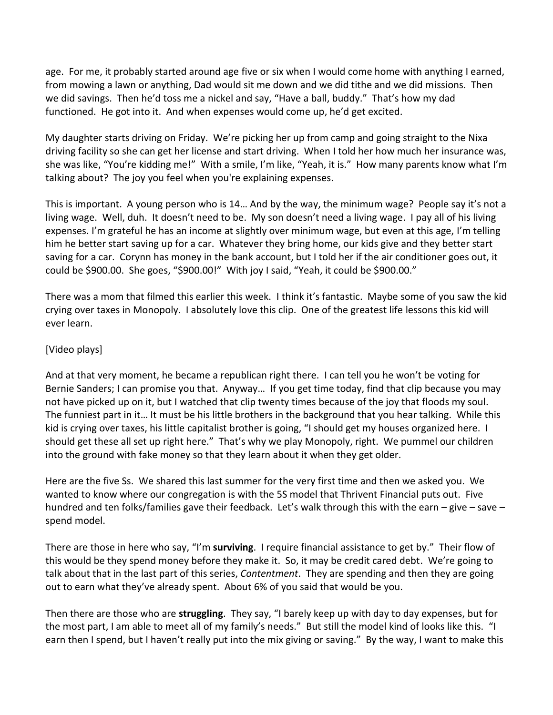age. For me, it probably started around age five or six when I would come home with anything I earned, from mowing a lawn or anything, Dad would sit me down and we did tithe and we did missions. Then we did savings. Then he'd toss me a nickel and say, "Have a ball, buddy." That's how my dad functioned. He got into it. And when expenses would come up, he'd get excited.

My daughter starts driving on Friday. We're picking her up from camp and going straight to the Nixa driving facility so she can get her license and start driving. When I told her how much her insurance was, she was like, "You're kidding me!" With a smile, I'm like, "Yeah, it is." How many parents know what I'm talking about? The joy you feel when you're explaining expenses.

This is important. A young person who is 14… And by the way, the minimum wage? People say it's not a living wage. Well, duh. It doesn't need to be. My son doesn't need a living wage. I pay all of his living expenses. I'm grateful he has an income at slightly over minimum wage, but even at this age, I'm telling him he better start saving up for a car. Whatever they bring home, our kids give and they better start saving for a car. Corynn has money in the bank account, but I told her if the air conditioner goes out, it could be \$900.00. She goes, "\$900.00!" With joy I said, "Yeah, it could be \$900.00."

There was a mom that filmed this earlier this week. I think it's fantastic. Maybe some of you saw the kid crying over taxes in Monopoly. I absolutely love this clip. One of the greatest life lessons this kid will ever learn.

## [Video plays]

And at that very moment, he became a republican right there. I can tell you he won't be voting for Bernie Sanders; I can promise you that. Anyway… If you get time today, find that clip because you may not have picked up on it, but I watched that clip twenty times because of the joy that floods my soul. The funniest part in it… It must be his little brothers in the background that you hear talking. While this kid is crying over taxes, his little capitalist brother is going, "I should get my houses organized here. I should get these all set up right here." That's why we play Monopoly, right. We pummel our children into the ground with fake money so that they learn about it when they get older.

Here are the five Ss. We shared this last summer for the very first time and then we asked you. We wanted to know where our congregation is with the 5S model that Thrivent Financial puts out. Five hundred and ten folks/families gave their feedback. Let's walk through this with the earn – give – save – spend model.

There are those in here who say, "I'm **surviving**. I require financial assistance to get by." Their flow of this would be they spend money before they make it. So, it may be credit cared debt. We're going to talk about that in the last part of this series, *Contentment*. They are spending and then they are going out to earn what they've already spent. About 6% of you said that would be you.

Then there are those who are **struggling**. They say, "I barely keep up with day to day expenses, but for the most part, I am able to meet all of my family's needs." But still the model kind of looks like this. "I earn then I spend, but I haven't really put into the mix giving or saving." By the way, I want to make this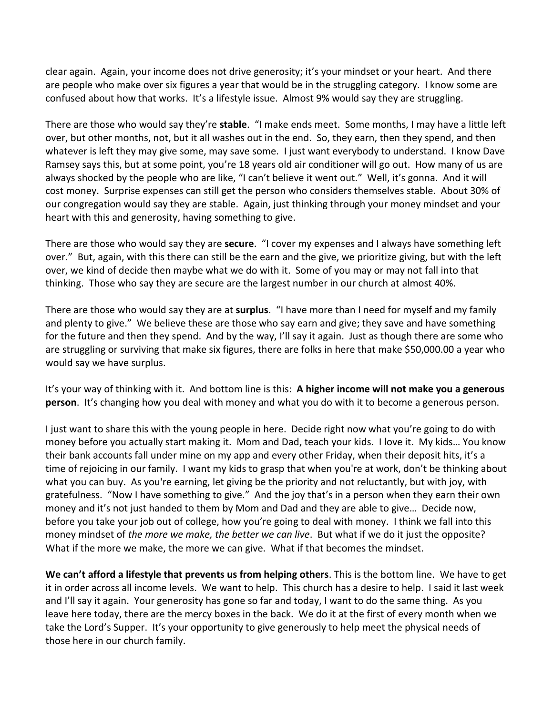clear again. Again, your income does not drive generosity; it's your mindset or your heart. And there are people who make over six figures a year that would be in the struggling category. I know some are confused about how that works. It's a lifestyle issue. Almost 9% would say they are struggling.

There are those who would say they're **stable**. "I make ends meet. Some months, I may have a little left over, but other months, not, but it all washes out in the end. So, they earn, then they spend, and then whatever is left they may give some, may save some. I just want everybody to understand. I know Dave Ramsey says this, but at some point, you're 18 years old air conditioner will go out. How many of us are always shocked by the people who are like, "I can't believe it went out." Well, it's gonna. And it will cost money. Surprise expenses can still get the person who considers themselves stable. About 30% of our congregation would say they are stable. Again, just thinking through your money mindset and your heart with this and generosity, having something to give.

There are those who would say they are **secure**. "I cover my expenses and I always have something left over." But, again, with this there can still be the earn and the give, we prioritize giving, but with the left over, we kind of decide then maybe what we do with it. Some of you may or may not fall into that thinking. Those who say they are secure are the largest number in our church at almost 40%.

There are those who would say they are at **surplus**. "I have more than I need for myself and my family and plenty to give." We believe these are those who say earn and give; they save and have something for the future and then they spend. And by the way, I'll say it again. Just as though there are some who are struggling or surviving that make six figures, there are folks in here that make \$50,000.00 a year who would say we have surplus.

It's your way of thinking with it. And bottom line is this: **A higher income will not make you a generous person**. It's changing how you deal with money and what you do with it to become a generous person.

I just want to share this with the young people in here. Decide right now what you're going to do with money before you actually start making it. Mom and Dad, teach your kids. I love it. My kids… You know their bank accounts fall under mine on my app and every other Friday, when their deposit hits, it's a time of rejoicing in our family. I want my kids to grasp that when you're at work, don't be thinking about what you can buy. As you're earning, let giving be the priority and not reluctantly, but with joy, with gratefulness. "Now I have something to give." And the joy that's in a person when they earn their own money and it's not just handed to them by Mom and Dad and they are able to give… Decide now, before you take your job out of college, how you're going to deal with money. I think we fall into this money mindset of *the more we make, the better we can live*. But what if we do it just the opposite? What if the more we make, the more we can give. What if that becomes the mindset.

**We can't afford a lifestyle that prevents us from helping others**. This is the bottom line. We have to get it in order across all income levels. We want to help. This church has a desire to help. I said it last week and I'll say it again. Your generosity has gone so far and today, I want to do the same thing. As you leave here today, there are the mercy boxes in the back. We do it at the first of every month when we take the Lord's Supper. It's your opportunity to give generously to help meet the physical needs of those here in our church family.